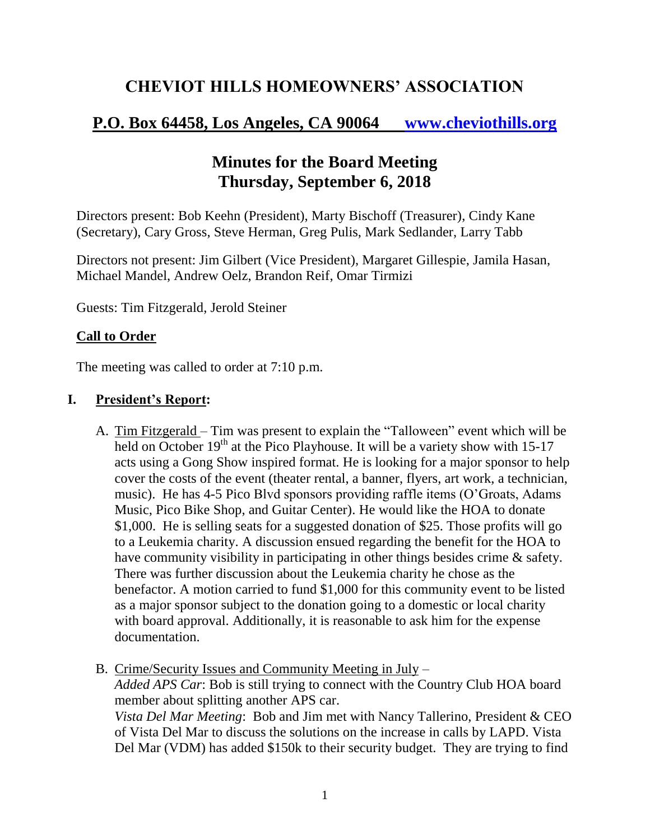# **CHEVIOT HILLS HOMEOWNERS' ASSOCIATION**

## **P.O. Box 64458, Los Angeles, CA 90064 [www.cheviothills.org](http://www.cheviothills.org/)**

## **Minutes for the Board Meeting Thursday, September 6, 2018**

Directors present: Bob Keehn (President), Marty Bischoff (Treasurer), Cindy Kane (Secretary), Cary Gross, Steve Herman, Greg Pulis, Mark Sedlander, Larry Tabb

Directors not present: Jim Gilbert (Vice President), Margaret Gillespie, Jamila Hasan, Michael Mandel, Andrew Oelz, Brandon Reif, Omar Tirmizi

Guests: Tim Fitzgerald, Jerold Steiner

#### **Call to Order**

The meeting was called to order at 7:10 p.m.

#### **I. President's Report:**

- A. Tim Fitzgerald Tim was present to explain the "Talloween" event which will be held on October  $19<sup>th</sup>$  at the Pico Playhouse. It will be a variety show with 15-17 acts using a Gong Show inspired format. He is looking for a major sponsor to help cover the costs of the event (theater rental, a banner, flyers, art work, a technician, music). He has 4-5 Pico Blvd sponsors providing raffle items (O'Groats, Adams Music, Pico Bike Shop, and Guitar Center). He would like the HOA to donate \$1,000. He is selling seats for a suggested donation of \$25. Those profits will go to a Leukemia charity. A discussion ensued regarding the benefit for the HOA to have community visibility in participating in other things besides crime & safety. There was further discussion about the Leukemia charity he chose as the benefactor. A motion carried to fund \$1,000 for this community event to be listed as a major sponsor subject to the donation going to a domestic or local charity with board approval. Additionally, it is reasonable to ask him for the expense documentation.
- B. Crime/Security Issues and Community Meeting in July *Added APS Car*: Bob is still trying to connect with the Country Club HOA board member about splitting another APS car. *Vista Del Mar Meeting*: Bob and Jim met with Nancy Tallerino, President & CEO of Vista Del Mar to discuss the solutions on the increase in calls by LAPD. Vista Del Mar (VDM) has added \$150k to their security budget. They are trying to find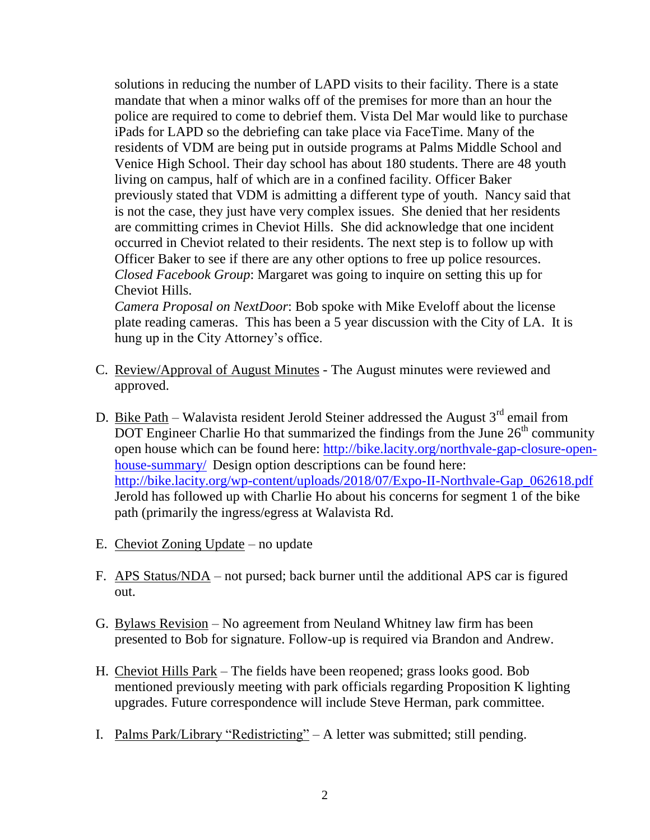solutions in reducing the number of LAPD visits to their facility. There is a state mandate that when a minor walks off of the premises for more than an hour the police are required to come to debrief them. Vista Del Mar would like to purchase iPads for LAPD so the debriefing can take place via FaceTime. Many of the residents of VDM are being put in outside programs at Palms Middle School and Venice High School. Their day school has about 180 students. There are 48 youth living on campus, half of which are in a confined facility. Officer Baker previously stated that VDM is admitting a different type of youth. Nancy said that is not the case, they just have very complex issues. She denied that her residents are committing crimes in Cheviot Hills. She did acknowledge that one incident occurred in Cheviot related to their residents. The next step is to follow up with Officer Baker to see if there are any other options to free up police resources. *Closed Facebook Group*: Margaret was going to inquire on setting this up for Cheviot Hills.

*Camera Proposal on NextDoor*: Bob spoke with Mike Eveloff about the license plate reading cameras. This has been a 5 year discussion with the City of LA. It is hung up in the City Attorney's office.

- C. Review/Approval of August Minutes The August minutes were reviewed and approved.
- D. Bike Path Walavista resident Jerold Steiner addressed the August  $3<sup>rd</sup>$  email from DOT Engineer Charlie Ho that summarized the findings from the June  $26<sup>th</sup>$  community open house which can be found here: [http://bike.lacity.org/northvale-gap-closure-open](http://bike.lacity.org/northvale-gap-closure-open-house-summary/)[house-summary/](http://bike.lacity.org/northvale-gap-closure-open-house-summary/) Design option descriptions can be found here: [http://bike.lacity.org/wp-content/uploads/2018/07/Expo-II-Northvale-Gap\\_062618.pdf](http://bike.lacity.org/wp-content/uploads/2018/07/Expo-II-Northvale-Gap_062618.pdf)  Jerold has followed up with Charlie Ho about his concerns for segment 1 of the bike path (primarily the ingress/egress at Walavista Rd.
- E. Cheviot Zoning Update no update
- F. APS Status/NDA not pursed; back burner until the additional APS car is figured out.
- G. Bylaws Revision No agreement from Neuland Whitney law firm has been presented to Bob for signature. Follow-up is required via Brandon and Andrew.
- H. Cheviot Hills Park The fields have been reopened; grass looks good. Bob mentioned previously meeting with park officials regarding Proposition K lighting upgrades. Future correspondence will include Steve Herman, park committee.
- I. Palms Park/Library "Redistricting" A letter was submitted; still pending.